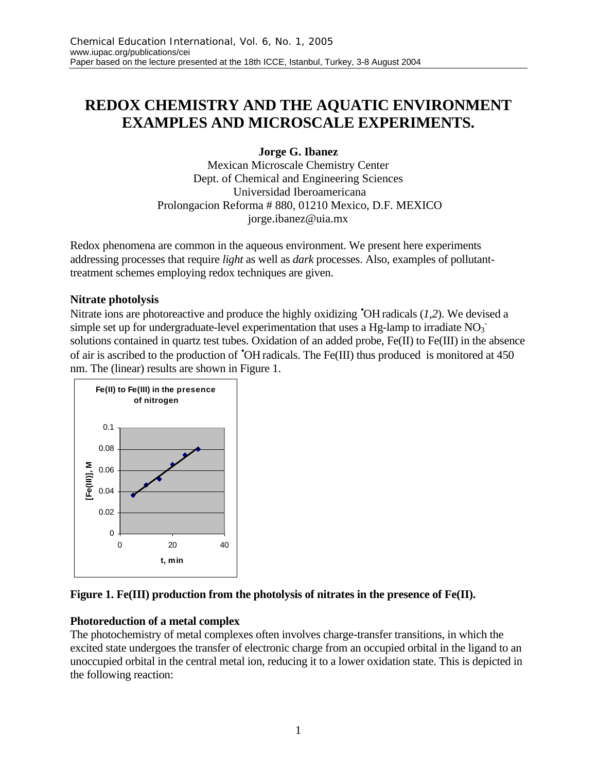# **REDOX CHEMISTRY AND THE AQUATIC ENVIRONMENT EXAMPLES AND MICROSCALE EXPERIMENTS.**

# **Jorge G. Ibanez**

Mexican Microscale Chemistry Center Dept. of Chemical and Engineering Sciences Universidad Iberoamericana Prolongacion Reforma # 880, 01210 Mexico, D.F. MEXICO jorge.ibanez@uia.mx

Redox phenomena are common in the aqueous environment. We present here experiments addressing processes that require *light* as well as *dark* processes. Also, examples of pollutanttreatment schemes employing redox techniques are given.

## **Nitrate photolysis**

Nitrate ions are photoreactive and produce the highly oxidizing •OH radicals (*1,2*). We devised a simple set up for undergraduate-level experimentation that uses a Hg-lamp to irradiate  $NO<sub>3</sub>$ solutions contained in quartz test tubes. Oxidation of an added probe, Fe(II) to Fe(III) in the absence of air is ascribed to the production of •OHradicals. The Fe(III) thus produced is monitored at 450 nm. The (linear) results are shown in Figure 1.



# **Figure 1. Fe(III) production from the photolysis of nitrates in the presence of Fe(II).**

# **Photoreduction of a metal complex**

The photochemistry of metal complexes often involves charge-transfer transitions, in which the excited state undergoes the transfer of electronic charge from an occupied orbital in the ligand to an unoccupied orbital in the central metal ion, reducing it to a lower oxidation state. This is depicted in the following reaction: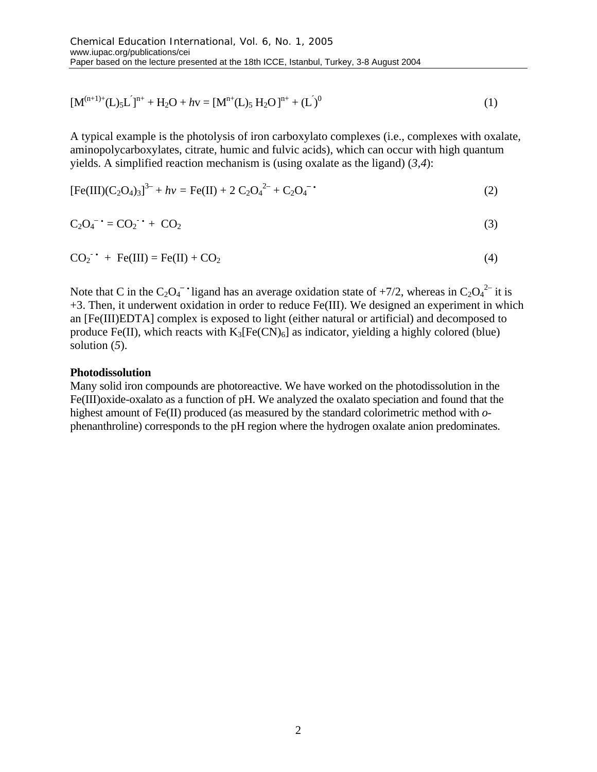$$
[\mathbf{M}^{(n+1)+}(\mathbf{L})_5\mathbf{L}^{\dagger}]^{n+} + \mathbf{H}_2\mathbf{O} + h\mathbf{v} = [\mathbf{M}^{n+}(\mathbf{L})_5\mathbf{H}_2\mathbf{O}]^{n+} + (\mathbf{L}^{\dagger})^0
$$
\n(1)

A typical example is the photolysis of iron carboxylato complexes (i.e., complexes with oxalate, aminopolycarboxylates, citrate, humic and fulvic acids), which can occur with high quantum yields. A simplified reaction mechanism is (using oxalate as the ligand) (*3,4*):

$$
[Fe(III)(C2O4)3]3- + hv = Fe(II) + 2 C2O42- + C2O4- (2)
$$

$$
C_2O_4^{\bullet -} = CO_2^{\bullet -} + CO_2 \tag{3}
$$

$$
CO_2^{\bullet \bullet} + Fe(III) = Fe(II) + CO_2 \tag{4}
$$

Note that C in the  $C_2O_4$ <sup>-•</sup> ligand has an average oxidation state of +7/2, whereas in  $C_2O_4^2$  it is +3. Then, it underwent oxidation in order to reduce Fe(III). We designed an experiment in which an [Fe(III)EDTA] complex is exposed to light (either natural or artificial) and decomposed to produce Fe(II), which reacts with  $K_3[Fe(CN)_6]$  as indicator, yielding a highly colored (blue) solution (*5*).

#### **Photodissolution**

Many solid iron compounds are photoreactive. We have worked on the photodissolution in the Fe(III)oxide-oxalato as a function of pH. We analyzed the oxalato speciation and found that the highest amount of Fe(II) produced (as measured by the standard colorimetric method with *o*phenanthroline) corresponds to the pH region where the hydrogen oxalate anion predominates.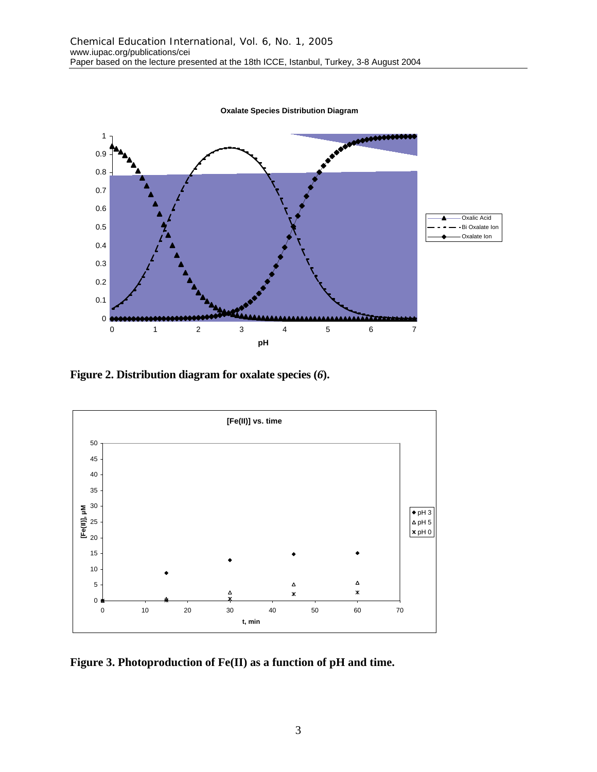**Oxalate Species Distribution Diagram**



**Figure 2. Distribution diagram for oxalate species (***6***).**



**Figure 3. Photoproduction of Fe(II) as a function of pH and time.**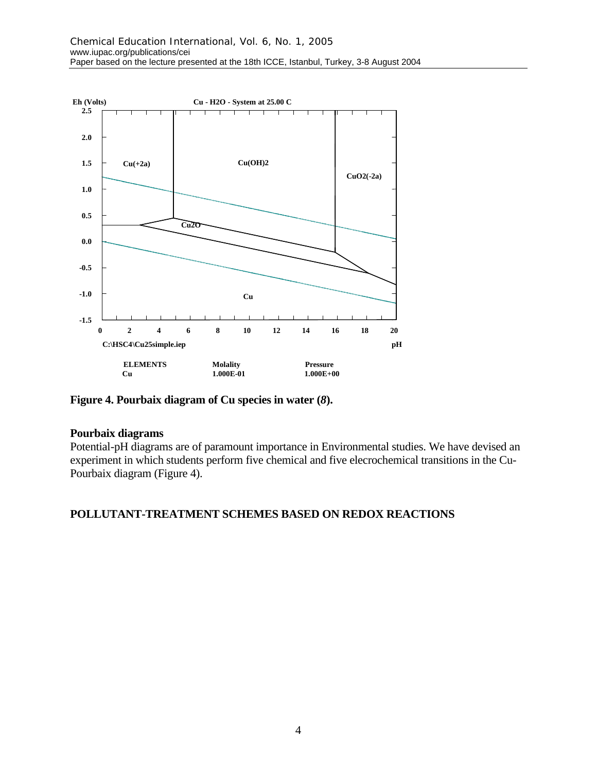

**Figure 4. Pourbaix diagram of Cu species in water (***8***).**

### **Pourbaix diagrams**

Potential-pH diagrams are of paramount importance in Environmental studies. We have devised an experiment in which students perform five chemical and five elecrochemical transitions in the Cu-Pourbaix diagram (Figure 4).

### **POLLUTANT-TREATMENT SCHEMES BASED ON REDOX REACTIONS**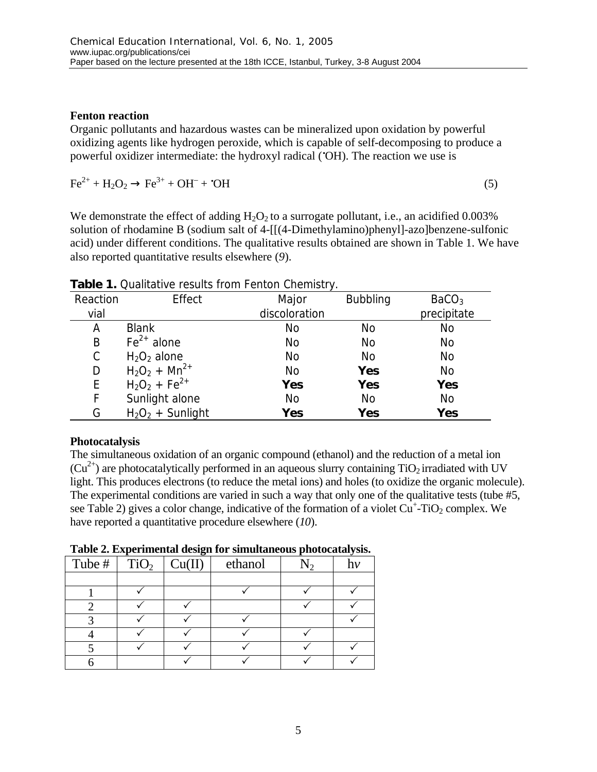## **Fenton reaction**

Organic pollutants and hazardous wastes can be mineralized upon oxidation by powerful oxidizing agents like hydrogen peroxide, which is capable of self-decomposing to produce a powerful oxidizer intermediate: the hydroxyl radical (•OH). The reaction we use is

 $Fe^{2+} + H_2O_2 \rightarrow Fe^{3+} + OH^- + {}^{*}OH$  (5)

We demonstrate the effect of adding  $H_2O_2$  to a surrogate pollutant, i.e., an acidified 0.003% solution of rhodamine B (sodium salt of 4-[[(4-Dimethylamino)phenyl]-azo]benzene-sulfonic acid) under different conditions. The qualitative results obtained are shown in Table 1. We have also reported quantitative results elsewhere (*9*).

| Reaction | Effect              | Major         | <b>Bubbling</b> | BaCO <sub>3</sub> |
|----------|---------------------|---------------|-----------------|-------------------|
| vial     |                     | discoloration |                 | precipitate       |
| Α        | <b>Blank</b>        | No            | No              | No                |
| B        | $Fe2+$ alone        | No            | No              | No                |
| C        | $H_2O_2$ alone      | No            | No              | No                |
| D        | $H_2O_2 + Mn^{2+}$  | <b>No</b>     | Yes             | No                |
| E        | $H_2O_2 + Fe^{2+}$  | Yes           | Yes             | <b>Yes</b>        |
| F        | Sunlight alone      | No            | No              | No                |
| G        | $H_2O_2$ + Sunlight | Yes           | Yes             | Yes               |

**Table 1.** Qualitative results from Fenton Chemistry.

# **Photocatalysis**

The simultaneous oxidation of an organic compound (ethanol) and the reduction of a metal ion  $(Cu^{2+})$  are photocatalytically performed in an aqueous slurry containing TiO<sub>2</sub> irradiated with UV light. This produces electrons (to reduce the metal ions) and holes (to oxidize the organic molecule). The experimental conditions are varied in such a way that only one of the qualitative tests (tube #5, see Table 2) gives a color change, indicative of the formation of a violet  $Cu^+$ -TiO<sub>2</sub> complex. We have reported a quantitative procedure elsewhere (*10*).

**Table 2. Experimental design for simultaneous photocatalysis.**

| - 7<br>- 2                     |  |        |         |  |  |  |  |  |
|--------------------------------|--|--------|---------|--|--|--|--|--|
| Tube # $\mid$ TiO <sub>2</sub> |  | Cu(II) | ethanol |  |  |  |  |  |
|                                |  |        |         |  |  |  |  |  |
|                                |  |        |         |  |  |  |  |  |
|                                |  |        |         |  |  |  |  |  |
|                                |  |        |         |  |  |  |  |  |
|                                |  |        |         |  |  |  |  |  |
|                                |  |        |         |  |  |  |  |  |
|                                |  |        |         |  |  |  |  |  |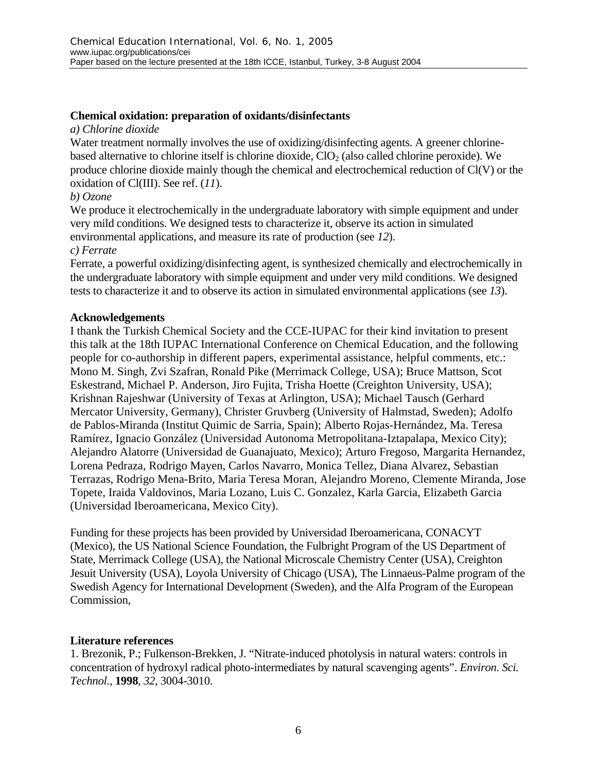## **Chemical oxidation: preparation of oxidants/disinfectants**

#### *a) Chlorine dioxide*

Water treatment normally involves the use of oxidizing/disinfecting agents. A greener chlorinebased alternative to chlorine itself is chlorine dioxide,  $ClO<sub>2</sub>$  (also called chlorine peroxide). We produce chlorine dioxide mainly though the chemical and electrochemical reduction of Cl(V) or the oxidation of Cl(III). See ref. (*11*).

### *b) Ozone*

We produce it electrochemically in the undergraduate laboratory with simple equipment and under very mild conditions. We designed tests to characterize it, observe its action in simulated environmental applications, and measure its rate of production (see *12*).

#### *c) Ferrate*

Ferrate, a powerful oxidizing/disinfecting agent, is synthesized chemically and electrochemically in the undergraduate laboratory with simple equipment and under very mild conditions. We designed tests to characterize it and to observe its action in simulated environmental applications (see *13*).

#### **Acknowledgements**

I thank the Turkish Chemical Society and the CCE-IUPAC for their kind invitation to present this talk at the 18th IUPAC International Conference on Chemical Education, and the following people for co-authorship in different papers, experimental assistance, helpful comments, etc.: Mono M. Singh, Zvi Szafran, Ronald Pike (Merrimack College, USA); Bruce Mattson, Scot Eskestrand, Michael P. Anderson, Jiro Fujita, Trisha Hoette (Creighton University, USA); Krishnan Rajeshwar (University of Texas at Arlington, USA); Michael Tausch (Gerhard Mercator University, Germany), Christer Gruvberg (University of Halmstad, Sweden); Adolfo de Pablos-Miranda (Institut Quimic de Sarria, Spain); Alberto Rojas-Hernández, Ma. Teresa Ramírez, Ignacio González (Universidad Autonoma Metropolitana-Iztapalapa, Mexico City); Alejandro Alatorre (Universidad de Guanajuato, Mexico); Arturo Fregoso, Margarita Hernandez, Lorena Pedraza, Rodrigo Mayen, Carlos Navarro, Monica Tellez, Diana Alvarez, Sebastian Terrazas, Rodrigo Mena-Brito, Maria Teresa Moran, Alejandro Moreno, Clemente Miranda, Jose Topete, Iraida Valdovinos, Maria Lozano, Luis C. Gonzalez, Karla Garcia, Elizabeth Garcia (Universidad Iberoamericana, Mexico City).

Funding for these projects has been provided by Universidad Iberoamericana, CONACYT (Mexico), the US National Science Foundation, the Fulbright Program of the US Department of State, Merrimack College (USA), the National Microscale Chemistry Center (USA), Creighton Jesuit University (USA), Loyola University of Chicago (USA), The Linnaeus-Palme program of the Swedish Agency for International Development (Sweden), and the Alfa Program of the European Commission,

### **Literature references**

1. Brezonik, P.; Fulkenson-Brekken, J. "Nitrate-induced photolysis in natural waters: controls in concentration of hydroxyl radical photo-intermediates by natural scavenging agents". *Environ. Sci. Technol.*, **1998**, *32*, 3004-3010.